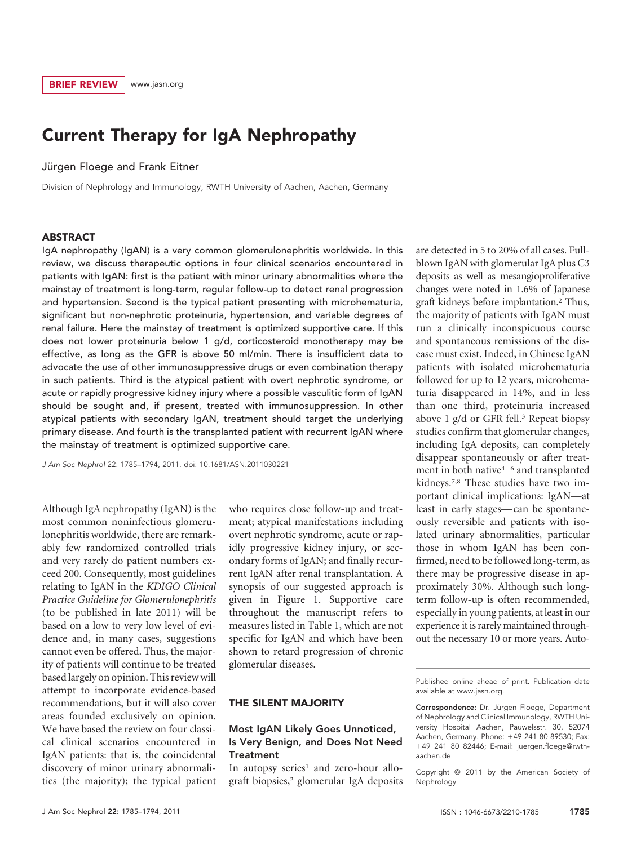### Current Therapy for IgA Nephropathy

Jürgen Floege and Frank Eitner

Division of Nephrology and Immunology, RWTH University of Aachen, Aachen, Germany

#### ABSTRACT

IgA nephropathy (IgAN) is a very common glomerulonephritis worldwide. In this review, we discuss therapeutic options in four clinical scenarios encountered in patients with IgAN: first is the patient with minor urinary abnormalities where the mainstay of treatment is long-term, regular follow-up to detect renal progression and hypertension. Second is the typical patient presenting with microhematuria, significant but non-nephrotic proteinuria, hypertension, and variable degrees of renal failure. Here the mainstay of treatment is optimized supportive care. If this does not lower proteinuria below 1 g/d, corticosteroid monotherapy may be effective, as long as the GFR is above 50 ml/min. There is insufficient data to advocate the use of other immunosuppressive drugs or even combination therapy in such patients. Third is the atypical patient with overt nephrotic syndrome, or acute or rapidly progressive kidney injury where a possible vasculitic form of IgAN should be sought and, if present, treated with immunosuppression. In other atypical patients with secondary IgAN, treatment should target the underlying primary disease. And fourth is the transplanted patient with recurrent IgAN where the mainstay of treatment is optimized supportive care.

*J Am Soc Nephrol* 22: 1785–1794, 2011. doi: 10.1681/ASN.2011030221

Although IgA nephropathy (IgAN) is the most common noninfectious glomerulonephritis worldwide, there are remarkably few randomized controlled trials and very rarely do patient numbers exceed 200. Consequently, most guidelines relating to IgAN in the *KDIGO Clinical Practice Guideline for Glomerulonephritis* (to be published in late 2011) will be based on a low to very low level of evidence and, in many cases, suggestions cannot even be offered. Thus, the majority of patients will continue to be treated based largely on opinion. This review will attempt to incorporate evidence-based recommendations, but it will also cover areas founded exclusively on opinion. We have based the review on four classical clinical scenarios encountered in IgAN patients: that is, the coincidental discovery of minor urinary abnormalities (the majority); the typical patient

who requires close follow-up and treatment; atypical manifestations including overt nephrotic syndrome, acute or rapidly progressive kidney injury, or secondary forms of IgAN; and finally recurrent IgAN after renal transplantation. A synopsis of our suggested approach is given in Figure 1. Supportive care throughout the manuscript refers to measures listed in Table 1, which are not specific for IgAN and which have been shown to retard progression of chronic glomerular diseases.

#### THE SILENT MAJORITY

#### Most IgAN Likely Goes Unnoticed, Is Very Benign, and Does Not Need **Treatment**

In autopsy series<sup>1</sup> and zero-hour allograft biopsies,2 glomerular IgA deposits are detected in 5 to 20% of all cases. Fullblown IgAN with glomerular IgA plus C3 deposits as well as mesangioproliferative changes were noted in 1.6% of Japanese graft kidneys before implantation.2 Thus, the majority of patients with IgAN must run a clinically inconspicuous course and spontaneous remissions of the disease must exist. Indeed, in Chinese IgAN patients with isolated microhematuria followed for up to 12 years, microhematuria disappeared in 14%, and in less than one third, proteinuria increased above 1  $g/d$  or GFR fell.<sup>3</sup> Repeat biopsy studies confirm that glomerular changes, including IgA deposits, can completely disappear spontaneously or after treatment in both native4–6 and transplanted kidneys.7,8 These studies have two important clinical implications: IgAN—at least in early stages— can be spontaneously reversible and patients with isolated urinary abnormalities, particular those in whom IgAN has been confirmed, need to be followed long-term, as there may be progressive disease in approximately 30%. Although such longterm follow-up is often recommended, especially in young patients, at least in our experience it is rarely maintained throughout the necessary 10 or more years. Auto-

Published online ahead of print. Publication date available at www.jasn.org.

Correspondence: Dr. Jürgen Floege, Department of Nephrology and Clinical Immunology, RWTH University Hospital Aachen, Pauwelsstr. 30, 52074 Aachen, Germany. Phone: 49 241 80 89530; Fax: 49 241 80 82446; E-mail: juergen.floege@rwthaachen.de

Copyright © 2011 by the American Society of Nephrology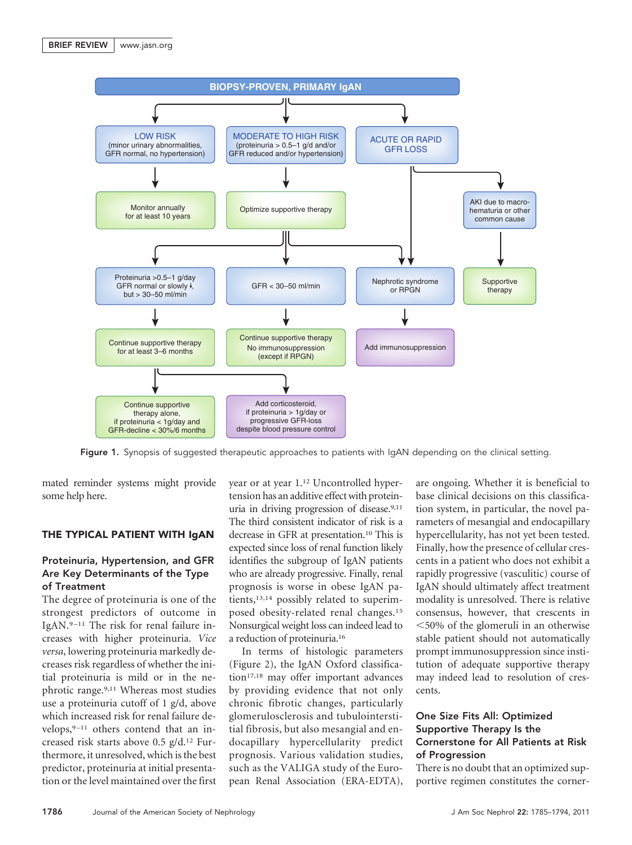

Figure 1. Synopsis of suggested therapeutic approaches to patients with IgAN depending on the clinical setting.

mated reminder systems might provide some help here.

#### THE TYPICAL PATIENT WITH IgAN

#### Proteinuria, Hypertension, and GFR Are Key Determinants of the Type of Treatment

The degree of proteinuria is one of the strongest predictors of outcome in IgAN.9 –11 The risk for renal failure increases with higher proteinuria. *Vice versa*, lowering proteinuria markedly decreases risk regardless of whether the initial proteinuria is mild or in the nephrotic range.9,11 Whereas most studies use a proteinuria cutoff of 1 g/d, above which increased risk for renal failure develops, $9-11$  others contend that an increased risk starts above 0.5 g/d.12 Furthermore, it unresolved, which is the best predictor, proteinuria at initial presentation or the level maintained over the first year or at year 1.12 Uncontrolled hypertension has an additive effect with proteinuria in driving progression of disease.9,11 The third consistent indicator of risk is a decrease in GFR at presentation.10 This is expected since loss of renal function likely identifies the subgroup of IgAN patients who are already progressive. Finally, renal prognosis is worse in obese IgAN patients,13,14 possibly related to superimposed obesity-related renal changes.15 Nonsurgical weight loss can indeed lead to a reduction of proteinuria.16

In terms of histologic parameters (Figure 2), the IgAN Oxford classification<sup>17,18</sup> may offer important advances by providing evidence that not only chronic fibrotic changes, particularly glomerulosclerosis and tubulointerstitial fibrosis, but also mesangial and endocapillary hypercellularity predict prognosis. Various validation studies, such as the VALIGA study of the European Renal Association (ERA-EDTA), are ongoing. Whether it is beneficial to base clinical decisions on this classification system, in particular, the novel parameters of mesangial and endocapillary hypercellularity, has not yet been tested. Finally, how the presence of cellular crescents in a patient who does not exhibit a rapidly progressive (vasculitic) course of IgAN should ultimately affect treatment modality is unresolved. There is relative consensus, however, that crescents in -50% of the glomeruli in an otherwise stable patient should not automatically prompt immunosuppression since institution of adequate supportive therapy may indeed lead to resolution of crescents.

#### One Size Fits All: Optimized Supportive Therapy Is the Cornerstone for All Patients at Risk of Progression

There is no doubt that an optimized supportive regimen constitutes the corner-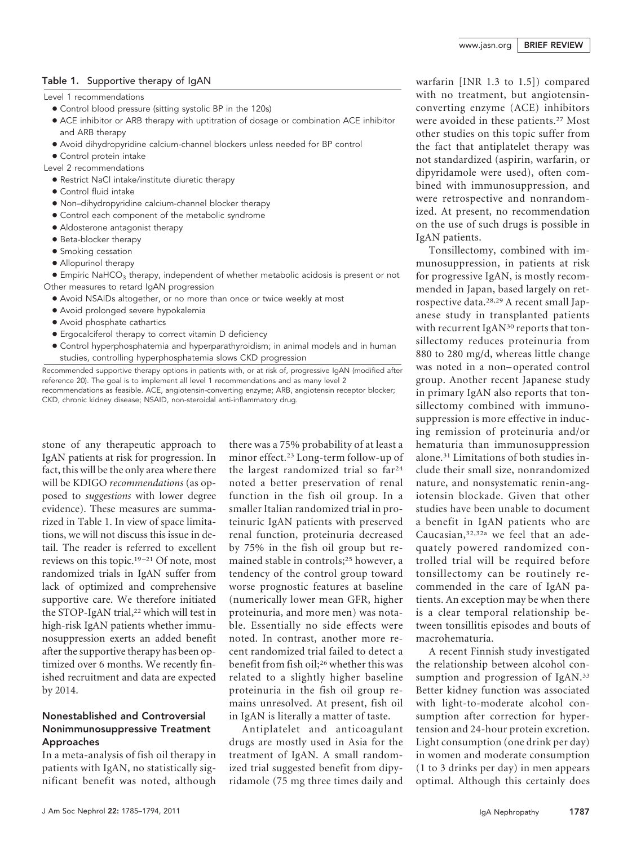#### Table 1. Supportive therapy of IgAN

Level 1 recommendations

- Control blood pressure (sitting systolic BP in the 120s)
- ACE inhibitor or ARB therapy with uptitration of dosage or combination ACE inhibitor and ARB therapy
- Avoid dihydropyridine calcium-channel blockers unless needed for BP control
- Control protein intake

Level 2 recommendations

- Restrict NaCl intake/institute diuretic therapy
- Control fluid intake
- Non–dihydropyridine calcium-channel blocker therapy
- Control each component of the metabolic syndrome
- Aldosterone antagonist therapy
- Beta-blocker therapy
- Smoking cessation
- Allopurinol therapy
- $\bullet$  Empiric NaHCO<sub>3</sub> therapy, independent of whether metabolic acidosis is present or not Other measures to retard IgAN progression
	- Avoid NSAIDs altogether, or no more than once or twice weekly at most
	- Avoid prolonged severe hypokalemia
	- Avoid phosphate cathartics
	- Ergocalciferol therapy to correct vitamin D deficiency
	- Control hyperphosphatemia and hyperparathyroidism; in animal models and in human studies, controlling hyperphosphatemia slows CKD progression

Recommended supportive therapy options in patients with, or at risk of, progressive IgAN (modified after reference 20). The goal is to implement all level 1 recommendations and as many level 2 recommendations as feasible. ACE, angiotensin-converting enzyme; ARB, angiotensin receptor blocker; CKD, chronic kidney disease; NSAID, non-steroidal anti-inflammatory drug.

stone of any therapeutic approach to IgAN patients at risk for progression. In fact, this will be the only area where there will be KDIGO *recommendations* (as opposed to *suggestions* with lower degree evidence). These measures are summarized in Table 1. In view of space limitations, we will not discuss this issue in detail. The reader is referred to excellent reviews on this topic.19 –21 Of note, most randomized trials in IgAN suffer from lack of optimized and comprehensive supportive care. We therefore initiated the STOP-IgAN trial,<sup>22</sup> which will test in high-risk IgAN patients whether immunosuppression exerts an added benefit after the supportive therapy has been optimized over 6 months. We recently finished recruitment and data are expected by 2014.

#### Nonestablished and Controversial Nonimmunosuppressive Treatment Approaches

In a meta-analysis of fish oil therapy in patients with IgAN, no statistically significant benefit was noted, although

there was a 75% probability of at least a minor effect.23 Long-term follow-up of the largest randomized trial so far24 noted a better preservation of renal function in the fish oil group. In a smaller Italian randomized trial in proteinuric IgAN patients with preserved renal function, proteinuria decreased by 75% in the fish oil group but remained stable in controls;25 however, a tendency of the control group toward worse prognostic features at baseline (numerically lower mean GFR, higher proteinuria, and more men) was notable. Essentially no side effects were noted. In contrast, another more recent randomized trial failed to detect a benefit from fish oil;26 whether this was related to a slightly higher baseline proteinuria in the fish oil group remains unresolved. At present, fish oil in IgAN is literally a matter of taste.

Antiplatelet and anticoagulant drugs are mostly used in Asia for the treatment of IgAN. A small randomized trial suggested benefit from dipyridamole (75 mg three times daily and warfarin [INR 1.3 to 1.5]) compared with no treatment, but angiotensinconverting enzyme (ACE) inhibitors were avoided in these patients.<sup>27</sup> Most other studies on this topic suffer from the fact that antiplatelet therapy was not standardized (aspirin, warfarin, or dipyridamole were used), often combined with immunosuppression, and were retrospective and nonrandomized. At present, no recommendation on the use of such drugs is possible in IgAN patients.

Tonsillectomy, combined with immunosuppression, in patients at risk for progressive IgAN, is mostly recommended in Japan, based largely on retrospective data.28,29 A recent small Japanese study in transplanted patients with recurrent IgAN<sup>30</sup> reports that tonsillectomy reduces proteinuria from 880 to 280 mg/d, whereas little change was noted in a non– operated control group. Another recent Japanese study in primary IgAN also reports that tonsillectomy combined with immunosuppression is more effective in inducing remission of proteinuria and/or hematuria than immunosuppression alone.31 Limitations of both studies include their small size, nonrandomized nature, and nonsystematic renin-angiotensin blockade. Given that other studies have been unable to document a benefit in IgAN patients who are Caucasian,32,32a we feel that an adequately powered randomized controlled trial will be required before tonsillectomy can be routinely recommended in the care of IgAN patients. An exception may be when there is a clear temporal relationship between tonsillitis episodes and bouts of macrohematuria.

A recent Finnish study investigated the relationship between alcohol consumption and progression of IgAN.<sup>33</sup> Better kidney function was associated with light-to-moderate alcohol consumption after correction for hypertension and 24-hour protein excretion. Light consumption (one drink per day) in women and moderate consumption (1 to 3 drinks per day) in men appears optimal. Although this certainly does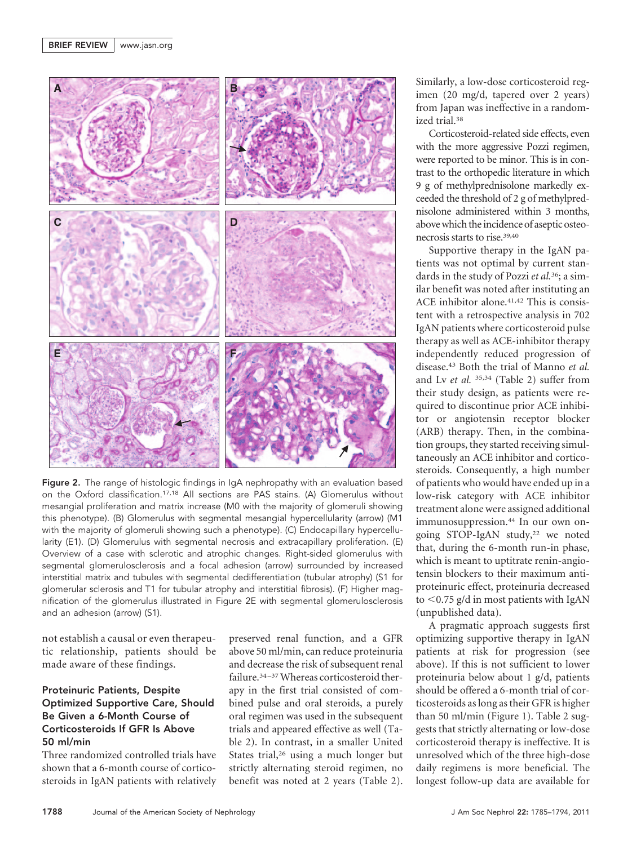

Figure 2. The range of histologic findings in IgA nephropathy with an evaluation based on the Oxford classification.17,18 All sections are PAS stains. (A) Glomerulus without mesangial proliferation and matrix increase (M0 with the majority of glomeruli showing this phenotype). (B) Glomerulus with segmental mesangial hypercellularity (arrow) (M1 with the majority of glomeruli showing such a phenotype). (C) Endocapillary hypercellularity (E1). (D) Glomerulus with segmental necrosis and extracapillary proliferation. (E) Overview of a case with sclerotic and atrophic changes. Right-sided glomerulus with segmental glomerulosclerosis and a focal adhesion (arrow) surrounded by increased interstitial matrix and tubules with segmental dedifferentiation (tubular atrophy) (S1 for glomerular sclerosis and T1 for tubular atrophy and interstitial fibrosis). (F) Higher magnification of the glomerulus illustrated in Figure 2E with segmental glomerulosclerosis and an adhesion (arrow) (S1).

not establish a causal or even therapeutic relationship, patients should be made aware of these findings.

#### Proteinuric Patients, Despite Optimized Supportive Care, Should Be Given a 6-Month Course of Corticosteroids If GFR Is Above 50 ml/min

Three randomized controlled trials have shown that a 6-month course of corticosteroids in IgAN patients with relatively

preserved renal function, and a GFR above 50 ml/min, can reduce proteinuria and decrease the risk of subsequent renal failure.<sup>34-37</sup> Whereas corticosteroid therapy in the first trial consisted of combined pulse and oral steroids, a purely oral regimen was used in the subsequent trials and appeared effective as well (Table 2). In contrast, in a smaller United States trial,<sup>26</sup> using a much longer but strictly alternating steroid regimen, no benefit was noted at 2 years (Table 2). Similarly, a low-dose corticosteroid regimen (20 mg/d, tapered over 2 years) from Japan was ineffective in a randomized trial.38

Corticosteroid-related side effects, even with the more aggressive Pozzi regimen, were reported to be minor. This is in contrast to the orthopedic literature in which 9 g of methylprednisolone markedly exceeded the threshold of 2 g of methylprednisolone administered within 3 months, abovewhich the incidence of aseptic osteonecrosis starts to rise.39,40

Supportive therapy in the IgAN patients was not optimal by current standards in the study of Pozzi *et al.*36; a similar benefit was noted after instituting an ACE inhibitor alone.<sup>41,42</sup> This is consistent with a retrospective analysis in 702 IgAN patients where corticosteroid pulse therapy as well as ACE-inhibitor therapy independently reduced progression of disease.43 Both the trial of Manno *et al.* and Lv *et al.* 35,34 (Table 2) suffer from their study design, as patients were required to discontinue prior ACE inhibitor or angiotensin receptor blocker (ARB) therapy. Then, in the combination groups, they started receiving simultaneously an ACE inhibitor and corticosteroids. Consequently, a high number of patients who would have ended up in a low-risk category with ACE inhibitor treatment alone were assigned additional immunosuppression.44 In our own ongoing STOP-IgAN study,22 we noted that, during the 6-month run-in phase, which is meant to uptitrate renin-angiotensin blockers to their maximum antiproteinuric effect, proteinuria decreased to <0.75 g/d in most patients with IgAN (unpublished data).

A pragmatic approach suggests first optimizing supportive therapy in IgAN patients at risk for progression (see above). If this is not sufficient to lower proteinuria below about 1 g/d, patients should be offered a 6-month trial of corticosteroids as long as their GFR is higher than 50 ml/min (Figure 1). Table 2 suggests that strictly alternating or low-dose corticosteroid therapy is ineffective. It is unresolved which of the three high-dose daily regimens is more beneficial. The longest follow-up data are available for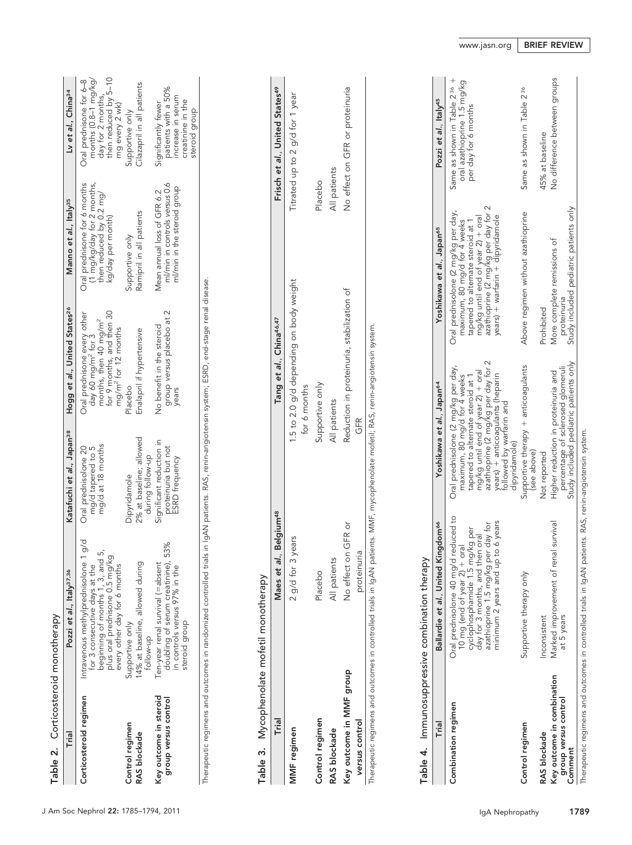|                                   | Pozzi et al., Italy <sup>37,36</sup> |
|-----------------------------------|--------------------------------------|
| Corticosteroid monotheran<br>able | lein.                                |

| Table 2. Corticosteroid monotherapy            |                                                                                                                                                                                           |                                                                   |                                                                                                                                                                    |                                                                                                            |                                                                                                                |
|------------------------------------------------|-------------------------------------------------------------------------------------------------------------------------------------------------------------------------------------------|-------------------------------------------------------------------|--------------------------------------------------------------------------------------------------------------------------------------------------------------------|------------------------------------------------------------------------------------------------------------|----------------------------------------------------------------------------------------------------------------|
| Frial                                          | Pozzi et al., Italy <sup>37,36</sup>                                                                                                                                                      | Katafuchi et al., Japan <sup>38</sup>                             | Hogg et al., United States <sup>26</sup>                                                                                                                           | Manno et al., Italy <sup>35</sup>                                                                          | Ly et al., China <sup>34</sup>                                                                                 |
| Corticosteroid regimen                         | $\frac{1}{9}$<br>ഗ്<br>plus oral prednisone 0.5 mg/kg<br>beginning of months 1, 3, and<br>Intravenous methylprednisolone<br>every other day for 6 months<br>for 3 consecutive days at the | mg/d at 18 months<br>mg/d tapered to 5<br>Oral prednisolone 20    | for 9 months, and then 30<br>Oral prednisone every other<br>months, then 40 mg/m <sup>2</sup><br>mg/m <sup>2</sup> for 12 months<br>day 60 mg/m <sup>2</sup> for 3 | Oral prednisone for 6 months<br>(1 mg/kg/day for 2 months,<br>then reduced by 0.2 mg/<br>kg/day per month) | then reduced by 5-10<br>months (0.8–1 mg/kg/<br>Oral prednisone for 6-8<br>day for 2 months,<br>mg every 2 wk) |
| Control regimen<br>RAS blockade                | 4% at baseline, allowed during<br>Supportive only<br>rollow-up                                                                                                                            | 2% at baseline; allowed<br>during follow-up<br>Dipyridamole       | Enalapril if hypertensive<br>Placebo                                                                                                                               | Ramipril in all patients<br>Supportive only                                                                | Cilazapril in all patients<br>Supportive only                                                                  |
| Key outcome in steroid<br>group versus control | 53%<br>Ten-year renal survival (=absent<br>doubling of serum creatinine),<br>in controls versus 97% in the<br>steroid group                                                               | Significant reduction in<br>proteinuria but not<br>ESRD frequency | group versus placebo at 2<br>No benefit in the steroid<br>years                                                                                                    | ml/min in controls versus 0.6<br>ml/min in the steroid group<br>Mean annual loss of GFR 6.2                | patients with a 50%<br>increase in serum<br>creatinine in the<br>Significantly fewer<br>steroid group          |

Therapeutic regimens and outcomes in randomized controlled trials in IgAN patients. RAS, renin-angiotensin system; ESRD, end-stage renal disease. Therapeutic regimens and outcomes in randomized controlled trials in IgAN patients. RAS, renin-angiotensin system; ESRD, end-stage renal disease.

# Table 3. Mycophenolate mofetil monotherapy Table 3. Mycophenolate mofetil monotherapy

| Trial                                                                                                          | Maes et al., Belgium <sup>48</sup> | Tang et al., China46,47                                 | Frisch et al., United States <sup>49</sup> |
|----------------------------------------------------------------------------------------------------------------|------------------------------------|---------------------------------------------------------|--------------------------------------------|
| MMF regimen                                                                                                    | years<br>$2$ a/d for $3$           | 1.5 to 2.0 g/d depending on body weight<br>for 6 months | Titrated up to 2 g/d for 1 year            |
| Control regimen                                                                                                | Placebo                            | supportive only                                         | Placebo                                    |
| RAS blockade                                                                                                   | All patients                       | All patients                                            | All patients                               |
| Key outcome in MMF group                                                                                       | No effect on GFR or                | Reduction in proteinuria, stabilization of              | No effect on GFR or proteinuria            |
| versus control                                                                                                 | <b>PIJ</b><br>proteinur            | GFR                                                     |                                            |
| 1970年10月10日,1970年10月20日,1970年10月20日,1970年10月20日,1970年10月20日,1970年10月20日,1970年10月20日,1970年10月20日,1970 年,1970年10 |                                    |                                                         |                                            |

l herapeutic regimens and outcomes in controlled trials in 1gAN patients. MMF, mycophenolate motetil; RAS, renin-angiotensin system. Therapeutic regimens and outcomes in controlled trials in IgAN patients. MMF, mycophenolate mofetil; RAS, renin-angiotensin system.

## combination thorapy Table 4. Immunosuppressive combination therapy  $\ddot{\cdot}$  $\overline{a}$ Table 4

| I apie 4. ILIUNOsuppressive computation trefapy               |                                                                                                                                                                                                                                   |                                                                                                                                                                                                                                                                       |                                                                                                                                                                                                                          |                                                                                                 |
|---------------------------------------------------------------|-----------------------------------------------------------------------------------------------------------------------------------------------------------------------------------------------------------------------------------|-----------------------------------------------------------------------------------------------------------------------------------------------------------------------------------------------------------------------------------------------------------------------|--------------------------------------------------------------------------------------------------------------------------------------------------------------------------------------------------------------------------|-------------------------------------------------------------------------------------------------|
| Trial                                                         | Ballardie et al., United Kingdom <sup>66</sup>                                                                                                                                                                                    | Yoshikawa et al., Japan <sup>64</sup>                                                                                                                                                                                                                                 | Yoshikawa et al., Japan <sup>65</sup>                                                                                                                                                                                    | Pozzi et al., Italy <sup>45</sup>                                                               |
| Combination regimen                                           | Oral prednisolone 40 mg/d reduced to<br><b>6</b> years<br>azathioprine 1.5 mg/kg per day tor<br>cyclophosphamide 1.5 mg/kg per<br>day for 3 months, and then oral<br>10 mg (end of year $2$ ) + oral<br>minimum 2 years and up to | azathioprine (2 mg/kg per day for 2<br>Oral prednisolone (2 mg/kg per day,<br>mg/kg until end of year 2) + oral<br>maximum, 80 mg/d for 4 weeks<br>years) + anticoagulants (heparin<br>tapered to alternate steroid at 1<br>tollowed by wartarin and<br>dipyridamole) | azathioprine (2 mg/kg per day for 2<br>Oral prednisolone (2 mg/kg per day,<br>mg/kg until end of year 2) + oral<br>years) + warfarin + dipyridamole<br>maximum, 80 mg/d for 4 weeks<br>tapered to alternate steroid at 1 | Same as shown in Table 2 <sup>36</sup> +<br>oral azathioprine 1.5 mg/kg<br>per day for 6 months |
| Control regimen                                               | Supportive therapy only                                                                                                                                                                                                           | Supportive therapy + anticoagulants<br>(see above)                                                                                                                                                                                                                    | Above regimen without azathioprine                                                                                                                                                                                       | Same as shown in Table 2 <sup>36</sup>                                                          |
| RAS blockade                                                  | nconsistent                                                                                                                                                                                                                       | Not reported                                                                                                                                                                                                                                                          | Prohibited                                                                                                                                                                                                               | 45% at baseline                                                                                 |
| Key outcome in combination<br>group versus control<br>Comment | survival<br>Marked improvement of renal<br>at 5 years                                                                                                                                                                             | Study included pediatric patients only<br>percentage of sclerosed glomeruli<br>Higher reduction in proteinuria and                                                                                                                                                    | Study included pediatric patients only<br>More complete remissions of<br>proteinuria                                                                                                                                     | No difference between groups                                                                    |
|                                                               |                                                                                                                                                                                                                                   |                                                                                                                                                                                                                                                                       |                                                                                                                                                                                                                          |                                                                                                 |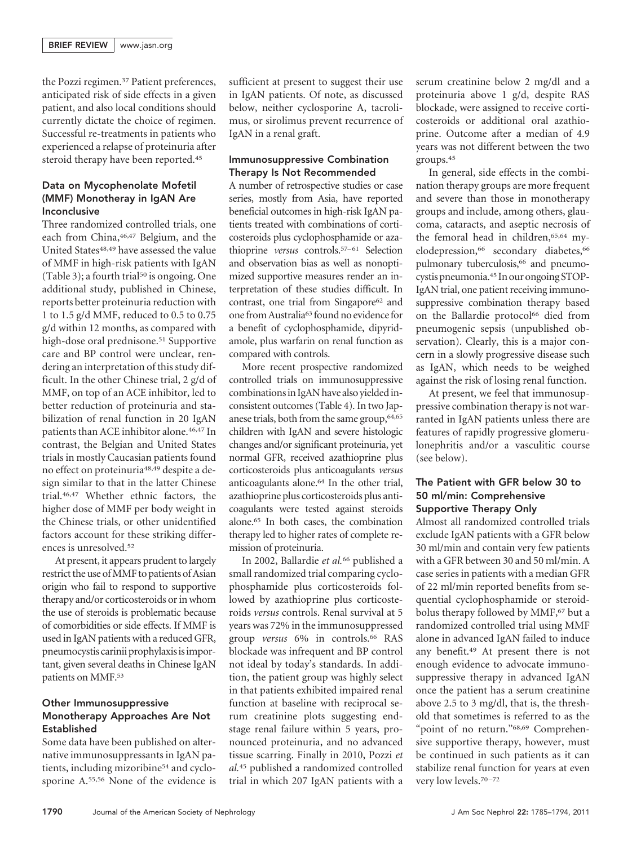the Pozzi regimen.<sup>37</sup> Patient preferences, anticipated risk of side effects in a given patient, and also local conditions should currently dictate the choice of regimen. Successful re-treatments in patients who experienced a relapse of proteinuria after steroid therapy have been reported.<sup>45</sup>

#### Data on Mycophenolate Mofetil (MMF) Monotheray in IgAN Are Inconclusive

Three randomized controlled trials, one each from China,46,47 Belgium, and the United States<sup>48,49</sup> have assessed the value of MMF in high-risk patients with IgAN (Table 3); a fourth trial<sup>50</sup> is ongoing. One additional study, published in Chinese, reports better proteinuria reduction with 1 to 1.5 g/d MMF, reduced to 0.5 to 0.75 g/d within 12 months, as compared with high-dose oral prednisone.<sup>51</sup> Supportive care and BP control were unclear, rendering an interpretation of this study difficult. In the other Chinese trial, 2 g/d of MMF, on top of an ACE inhibitor, led to better reduction of proteinuria and stabilization of renal function in 20 IgAN patients than ACE inhibitor alone.46,47 In contrast, the Belgian and United States trials in mostly Caucasian patients found no effect on proteinuria48,49 despite a design similar to that in the latter Chinese trial.46,47 Whether ethnic factors, the higher dose of MMF per body weight in the Chinese trials, or other unidentified factors account for these striking differences is unresolved.52

At present, it appears prudent to largely restrict the use ofMMF to patients of Asian origin who fail to respond to supportive therapy and/or corticosteroids or in whom the use of steroids is problematic because of comorbidities or side effects. If MMF is used in IgAN patients with a reduced GFR, pneumocystis carinii prophylaxis is important, given several deaths in Chinese IgAN patients on MMF.<sup>53</sup>

#### Other Immunosuppressive Monotherapy Approaches Are Not Established

Some data have been published on alternative immunosuppressants in IgAN patients, including mizoribine<sup>54</sup> and cyclosporine A.55,56 None of the evidence is

sufficient at present to suggest their use in IgAN patients. Of note, as discussed below, neither cyclosporine A, tacrolimus, or sirolimus prevent recurrence of IgAN in a renal graft.

#### Immunosuppressive Combination Therapy Is Not Recommended

A number of retrospective studies or case series, mostly from Asia, have reported beneficial outcomes in high-risk IgAN patients treated with combinations of corticosteroids plus cyclophosphamide or azathioprine *versus* controls.57–61 Selection and observation bias as well as nonoptimized supportive measures render an interpretation of these studies difficult. In contrast, one trial from Singapore<sup>62</sup> and one from Australia<sup>63</sup> found no evidence for a benefit of cyclophosphamide, dipyridamole, plus warfarin on renal function as compared with controls.

More recent prospective randomized controlled trials on immunosuppressive combinationsin IgAN have also yieldedinconsistent outcomes (Table 4). In two Japanese trials, both from the same group,64,65 children with IgAN and severe histologic changes and/or significant proteinuria, yet normal GFR, received azathioprine plus corticosteroids plus anticoagulants *versus* anticoagulants alone.64 In the other trial, azathioprine plus corticosteroids plus anticoagulants were tested against steroids alone.65 In both cases, the combination therapy led to higher rates of complete remission of proteinuria.

In 2002, Ballardie *et al.*<sup>66</sup> published a small randomized trial comparing cyclophosphamide plus corticosteroids followed by azathioprine plus corticosteroids *versus* controls. Renal survival at 5 years was 72% in the immunosuppressed group *versus* 6% in controls.66 RAS blockade was infrequent and BP control not ideal by today's standards. In addition, the patient group was highly select in that patients exhibited impaired renal function at baseline with reciprocal serum creatinine plots suggesting endstage renal failure within 5 years, pronounced proteinuria, and no advanced tissue scarring. Finally in 2010, Pozzi *et al.*<sup>45</sup> published a randomized controlled trial in which 207 IgAN patients with a serum creatinine below 2 mg/dl and a proteinuria above 1 g/d, despite RAS blockade, were assigned to receive corticosteroids or additional oral azathioprine. Outcome after a median of 4.9 years was not different between the two groups.45

In general, side effects in the combination therapy groups are more frequent and severe than those in monotherapy groups and include, among others, glaucoma, cataracts, and aseptic necrosis of the femoral head in children,<sup>65,64</sup> myelodepression,<sup>66</sup> secondary diabetes,<sup>66</sup> pulmonary tuberculosis,<sup>66</sup> and pneumocystis pneumonia.45 In our ongoing STOP-IgAN trial, one patient receiving immunosuppressive combination therapy based on the Ballardie protocol<sup>66</sup> died from pneumogenic sepsis (unpublished observation). Clearly, this is a major concern in a slowly progressive disease such as IgAN, which needs to be weighed against the risk of losing renal function.

At present, we feel that immunosuppressive combination therapy is not warranted in IgAN patients unless there are features of rapidly progressive glomerulonephritis and/or a vasculitic course (see below).

#### The Patient with GFR below 30 to 50 ml/min: Comprehensive Supportive Therapy Only

Almost all randomized controlled trials exclude IgAN patients with a GFR below 30 ml/min and contain very few patients with a GFR between 30 and 50 ml/min. A case series in patients with a median GFR of 22 ml/min reported benefits from sequential cyclophosphamide or steroidbolus therapy followed by MMF,<sup>67</sup> but a randomized controlled trial using MMF alone in advanced IgAN failed to induce any benefit.49 At present there is not enough evidence to advocate immunosuppressive therapy in advanced IgAN once the patient has a serum creatinine above 2.5 to 3 mg/dl, that is, the threshold that sometimes is referred to as the "point of no return."68,69 Comprehensive supportive therapy, however, must be continued in such patients as it can stabilize renal function for years at even very low levels.<sup>70-72</sup>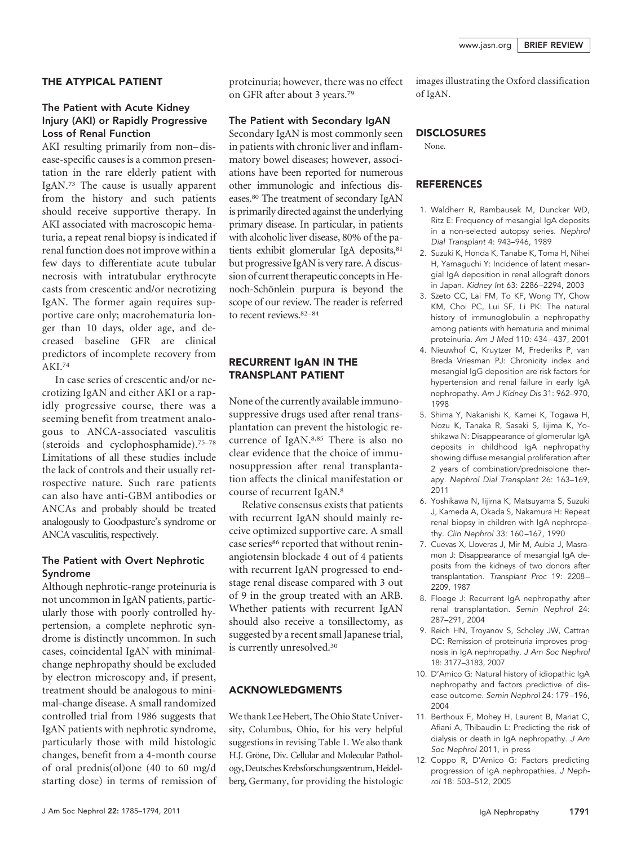#### THE ATYPICAL PATIENT

#### The Patient with Acute Kidney Injury (AKI) or Rapidly Progressive Loss of Renal Function

AKI resulting primarily from non-disease-specific causes is a common presentation in the rare elderly patient with IgAN.73 The cause is usually apparent from the history and such patients should receive supportive therapy. In AKI associated with macroscopic hematuria, a repeat renal biopsy is indicated if renal function does not improve within a few days to differentiate acute tubular necrosis with intratubular erythrocyte casts from crescentic and/or necrotizing IgAN. The former again requires supportive care only; macrohematuria longer than 10 days, older age, and decreased baseline GFR are clinical predictors of incomplete recovery from AKI.74

In case series of crescentic and/or necrotizing IgAN and either AKI or a rapidly progressive course, there was a seeming benefit from treatment analogous to ANCA-associated vasculitis (steroids and cyclophosphamide).75–78 Limitations of all these studies include the lack of controls and their usually retrospective nature. Such rare patients can also have anti-GBM antibodies or ANCAs and probably should be treated analogously to Goodpasture's syndrome or ANCA vasculitis, respectively.

#### The Patient with Overt Nephrotic Syndrome

Although nephrotic-range proteinuria is not uncommon in IgAN patients, particularly those with poorly controlled hypertension, a complete nephrotic syndrome is distinctly uncommon. In such cases, coincidental IgAN with minimalchange nephropathy should be excluded by electron microscopy and, if present, treatment should be analogous to minimal-change disease. A small randomized controlled trial from 1986 suggests that IgAN patients with nephrotic syndrome, particularly those with mild histologic changes, benefit from a 4-month course of oral prednis(ol)one (40 to 60 mg/d starting dose) in terms of remission of proteinuria; however, there was no effect on GFR after about 3 years.79

#### The Patient with Secondary IgAN

Secondary IgAN is most commonly seen in patients with chronic liver and inflammatory bowel diseases; however, associations have been reported for numerous other immunologic and infectious diseases.80 The treatment of secondary IgAN is primarily directed against the underlying primary disease. In particular, in patients with alcoholic liver disease, 80% of the patients exhibit glomerular IgA deposits,<sup>81</sup> but progressive IgAN is very rare. A discussion of current therapeutic concepts in Henoch-Schönlein purpura is beyond the scope of our review. The reader is referred to recent reviews. 82-84

#### RECURRENT IgAN IN THE TRANSPLANT PATIENT

None of the currently available immunosuppressive drugs used after renal transplantation can prevent the histologic recurrence of IgAN.8,85 There is also no clear evidence that the choice of immunosuppression after renal transplantation affects the clinical manifestation or course of recurrent IgAN.8

Relative consensus exists that patients with recurrent IgAN should mainly receive optimized supportive care. A small case series<sup>86</sup> reported that without reninangiotensin blockade 4 out of 4 patients with recurrent IgAN progressed to endstage renal disease compared with 3 out of 9 in the group treated with an ARB. Whether patients with recurrent IgAN should also receive a tonsillectomy, as suggested by a recent small Japanese trial, is currently unresolved.30

#### ACKNOWLEDGMENTS

We thank Lee Hebert, The Ohio State University, Columbus, Ohio, for his very helpful suggestions in revising Table 1. We also thank H.J. Gröne, Div. Cellular and Molecular Pathology, Deutsches Krebsforschungszentrum, Heidelberg, Germany, for providing the histologic images illustrating the Oxford classification of IgAN.

#### **DISCLOSURES**

None.

#### **REFERENCES**

- 1. Waldherr R, Rambausek M, Duncker WD, Ritz E: Frequency of mesangial IgA deposits in a non-selected autopsy series. *Nephrol Dial Transplant* 4: 943–946, 1989
- 2. Suzuki K, Honda K, Tanabe K, Toma H, Nihei H, Yamaguchi Y: Incidence of latent mesangial IgA deposition in renal allograft donors in Japan. *Kidney Int* 63: 2286 –2294, 2003
- 3. Szeto CC, Lai FM, To KF, Wong TY, Chow KM, Choi PC, Lui SF, Li PK: The natural history of immunoglobulin a nephropathy among patients with hematuria and minimal proteinuria. *Am J Med* 110: 434 – 437, 2001
- 4. Nieuwhof C, Kruytzer M, Frederiks P, van Breda Vriesman PJ: Chronicity index and mesangial IgG deposition are risk factors for hypertension and renal failure in early IgA nephropathy. *Am J Kidney Dis* 31: 962–970, 1998
- 5. Shima Y, Nakanishi K, Kamei K, Togawa H, Nozu K, Tanaka R, Sasaki S, Iijima K, Yoshikawa N: Disappearance of glomerular IgA deposits in childhood IgA nephropathy showing diffuse mesangial proliferation after 2 years of combination/prednisolone therapy. *Nephrol Dial Transplant* 26: 163–169, 2011
- 6. Yoshikawa N, Iijima K, Matsuyama S, Suzuki J, Kameda A, Okada S, Nakamura H: Repeat renal biopsy in children with IgA nephropathy. *Clin Nephrol* 33: 160 –167, 1990
- 7. Cuevas X, Lloveras J, Mir M, Aubia J, Masramon J: Disappearance of mesangial IgA deposits from the kidneys of two donors after transplantation. *Transplant Proc* 19: 2208 – 2209, 1987
- 8. Floege J: Recurrent IgA nephropathy after renal transplantation. *Semin Nephrol* 24: 287–291, 2004
- 9. Reich HN, Troyanov S, Scholey JW, Cattran DC: Remission of proteinuria improves prognosis in IgA nephropathy. *J Am Soc Nephrol* 18: 3177–3183, 2007
- 10. D'Amico G: Natural history of idiopathic IgA nephropathy and factors predictive of disease outcome. *Semin Nephrol* 24: 179 –196, 2004
- 11. Berthoux F, Mohey H, Laurent B, Mariat C, Afiani A, Thibaudin L: Predicting the risk of dialysis or death in IgA nephropathy. *J Am Soc Nephrol* 2011, in press
- 12. Coppo R, D'Amico G: Factors predicting progression of IgA nephropathies. *J Nephrol* 18: 503–512, 2005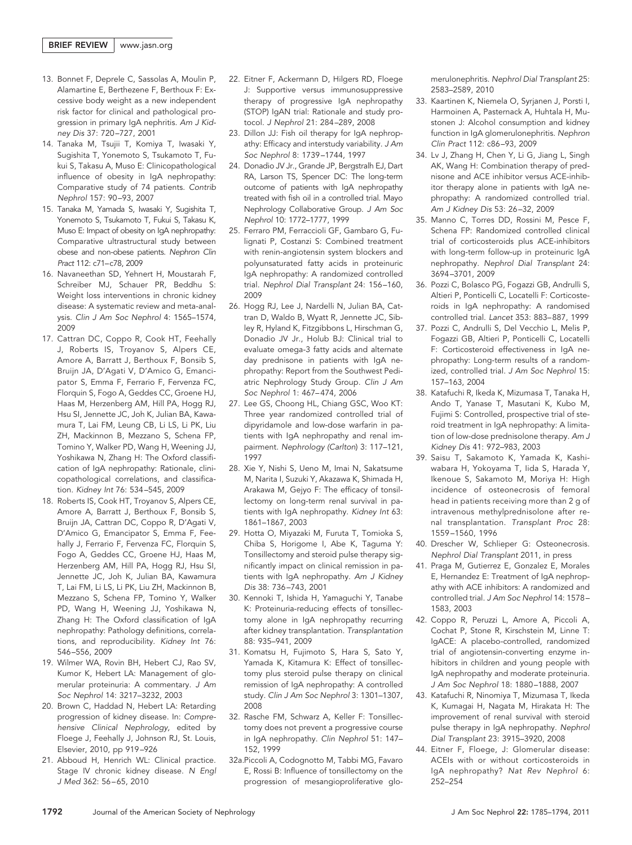- 13. Bonnet F, Deprele C, Sassolas A, Moulin P, Alamartine E, Berthezene F, Berthoux F: Excessive body weight as a new independent risk factor for clinical and pathological progression in primary IgA nephritis. *Am J Kidney Dis* 37: 720 –727, 2001
- 14. Tanaka M, Tsujii T, Komiya T, Iwasaki Y, Sugishita T, Yonemoto S, Tsukamoto T, Fukui S, Takasu A, Muso E: Clinicopathological influence of obesity in IgA nephropathy: Comparative study of 74 patients. *Contrib Nephrol* 157: 90 –93, 2007
- 15. Tanaka M, Yamada S, Iwasaki Y, Sugishita T, Yonemoto S, Tsukamoto T, Fukui S, Takasu K, Muso E: Impact of obesity on IgA nephropathy: Comparative ultrastructural study between obese and non-obese patients. *Nephron Clin Pract* 112: c71–c78, 2009
- 16. Navaneethan SD, Yehnert H, Moustarah F, Schreiber MJ, Schauer PR, Beddhu S: Weight loss interventions in chronic kidney disease: A systematic review and meta-analysis. *Clin J Am Soc Nephrol* 4: 1565–1574, 2009
- 17. Cattran DC, Coppo R, Cook HT, Feehally J, Roberts IS, Troyanov S, Alpers CE, Amore A, Barratt J, Berthoux F, Bonsib S, Bruijn JA, D'Agati V, D'Amico G, Emancipator S, Emma F, Ferrario F, Fervenza FC, Florquin S, Fogo A, Geddes CC, Groene HJ, Haas M, Herzenberg AM, Hill PA, Hogg RJ, Hsu SI, Jennette JC, Joh K, Julian BA, Kawamura T, Lai FM, Leung CB, Li LS, Li PK, Liu ZH, Mackinnon B, Mezzano S, Schena FP, Tomino Y, Walker PD, Wang H, Weening JJ, Yoshikawa N, Zhang H: The Oxford classification of IgA nephropathy: Rationale, clinicopathological correlations, and classification. *Kidney Int* 76: 534 –545, 2009
- 18. Roberts IS, Cook HT, Troyanov S, Alpers CE, Amore A, Barratt J, Berthoux F, Bonsib S, Bruijn JA, Cattran DC, Coppo R, D'Agati V, D'Amico G, Emancipator S, Emma F, Feehally J, Ferrario F, Fervenza FC, Florquin S, Fogo A, Geddes CC, Groene HJ, Haas M, Herzenberg AM, Hill PA, Hogg RJ, Hsu SI, Jennette JC, Joh K, Julian BA, Kawamura T, Lai FM, Li LS, Li PK, Liu ZH, Mackinnon B, Mezzano S, Schena FP, Tomino Y, Walker PD, Wang H, Weening JJ, Yoshikawa N, Zhang H: The Oxford classification of IgA nephropathy: Pathology definitions, correlations, and reproducibility. *Kidney Int* 76: 546 –556, 2009
- 19. Wilmer WA, Rovin BH, Hebert CJ, Rao SV, Kumor K, Hebert LA: Management of glomerular proteinuria: A commentary. *J Am Soc Nephrol* 14: 3217–3232, 2003
- 20. Brown C, Haddad N, Hebert LA: Retarding progression of kidney disease. In: *Comprehensive Clinical Nephrology,* edited by Floege J, Feehally J, Johnson RJ, St. Louis, Elsevier, 2010, pp 919 –926
- 21. Abboud H, Henrich WL: Clinical practice. Stage IV chronic kidney disease. *N Engl J Med* 362: 56 – 65, 2010
- 22. Eitner F, Ackermann D, Hilgers RD, Floege J: Supportive versus immunosuppressive therapy of progressive IgA nephropathy (STOP) IgAN trial: Rationale and study protocol. *J Nephrol* 21: 284 –289, 2008
- 23. Dillon JJ: Fish oil therapy for IgA nephropathy: Efficacy and interstudy variability. *J Am Soc Nephrol* 8: 1739 –1744, 1997
- 24. Donadio JV Jr., Grande JP, Bergstralh EJ, Dart RA, Larson TS, Spencer DC: The long-term outcome of patients with IgA nephropathy treated with fish oil in a controlled trial. Mayo Nephrology Collaborative Group. *J Am Soc Nephrol* 10: 1772–1777, 1999
- 25. Ferraro PM, Ferraccioli GF, Gambaro G, Fulignati P, Costanzi S: Combined treatment with renin-angiotensin system blockers and polyunsaturated fatty acids in proteinuric IgA nephropathy: A randomized controlled trial. *Nephrol Dial Transplant* 24: 156 –160, 2009
- 26. Hogg RJ, Lee J, Nardelli N, Julian BA, Cattran D, Waldo B, Wyatt R, Jennette JC, Sibley R, Hyland K, Fitzgibbons L, Hirschman G, Donadio JV Jr., Holub BJ: Clinical trial to evaluate omega-3 fatty acids and alternate day prednisone in patients with IgA nephropathy: Report from the Southwest Pediatric Nephrology Study Group. *Clin J Am Soc Nephrol* 1: 467– 474, 2006
- 27. Lee GS, Choong HL, Chiang GSC, Woo KT: Three year randomized controlled trial of dipyridamole and low-dose warfarin in patients with IgA nephropathy and renal impairment. *Nephrology (Carlton*) 3: 117–121, 1997
- 28. Xie Y, Nishi S, Ueno M, Imai N, Sakatsume M, Narita I, Suzuki Y, Akazawa K, Shimada H, Arakawa M, Gejyo F: The efficacy of tonsillectomy on long-term renal survival in patients with IgA nephropathy. *Kidney Int* 63: 1861–1867, 2003
- 29. Hotta O, Miyazaki M, Furuta T, Tomioka S, Chiba S, Horigome I, Abe K, Taguma Y: Tonsillectomy and steroid pulse therapy significantly impact on clinical remission in patients with IgA nephropathy. *Am J Kidney Dis* 38: 736 –743, 2001
- 30. Kennoki T, Ishida H, Yamaguchi Y, Tanabe K: Proteinuria-reducing effects of tonsillectomy alone in IgA nephropathy recurring after kidney transplantation. *Transplantation* 88: 935–941, 2009
- 31. Komatsu H, Fujimoto S, Hara S, Sato Y, Yamada K, Kitamura K: Effect of tonsillectomy plus steroid pulse therapy on clinical remission of IgA nephropathy: A controlled study. *Clin J Am Soc Nephrol* 3: 1301–1307, 2008
- 32. Rasche FM, Schwarz A, Keller F: Tonsillectomy does not prevent a progressive course in IgA nephropathy. *Clin Nephrol* 51: 147– 152, 1999
- 32a.Piccoli A, Codognotto M, Tabbi MG, Favaro E, Rossi B: Influence of tonsillectomy on the progression of mesangioproliferative glo-

merulonephritis. *Nephrol Dial Transplant* 25: 2583–2589, 2010

- 33. Kaartinen K, Niemela O, Syrjanen J, Porsti I, Harmoinen A, Pasternack A, Huhtala H, Mustonen J: Alcohol consumption and kidney function in IgA glomerulonephritis. *Nephron Clin Pract* 112: c86 –93, 2009
- 34. Lv J, Zhang H, Chen Y, Li G, Jiang L, Singh AK, Wang H: Combination therapy of prednisone and ACE inhibitor versus ACE-inhibitor therapy alone in patients with IgA nephropathy: A randomized controlled trial. *Am J Kidney Dis* 53: 26 –32, 2009
- 35. Manno C, Torres DD, Rossini M, Pesce F, Schena FP: Randomized controlled clinical trial of corticosteroids plus ACE-inhibitors with long-term follow-up in proteinuric IgA nephropathy. *Nephrol Dial Transplant* 24: 3694 –3701, 2009
- 36. Pozzi C, Bolasco PG, Fogazzi GB, Andrulli S, Altieri P, Ponticelli C, Locatelli F: Corticosteroids in IgA nephropathy: A randomised controlled trial. *Lancet* 353: 883– 887, 1999
- 37. Pozzi C, Andrulli S, Del Vecchio L, Melis P, Fogazzi GB, Altieri P, Ponticelli C, Locatelli F: Corticosteroid effectiveness in IgA nephropathy: Long-term results of a randomized, controlled trial. *J Am Soc Nephrol* 15: 157–163, 2004
- 38. Katafuchi R, Ikeda K, Mizumasa T, Tanaka H, Ando T, Yanase T, Masutani K, Kubo M, Fujimi S: Controlled, prospective trial of steroid treatment in IgA nephropathy: A limitation of low-dose prednisolone therapy. *Am J Kidney Dis* 41: 972–983, 2003
- 39. Saisu T, Sakamoto K, Yamada K, Kashiwabara H, Yokoyama T, Iida S, Harada Y, Ikenoue S, Sakamoto M, Moriya H: High incidence of osteonecrosis of femoral head in patients receiving more than 2 g of intravenous methylprednisolone after renal transplantation. *Transplant Proc* 28: 1559 –1560, 1996
- 40. Drescher W, Schlieper G: Osteonecrosis. *Nephrol Dial Transplant* 2011, in press
- 41. Praga M, Gutierrez E, Gonzalez E, Morales E, Hernandez E: Treatment of IgA nephropathy with ACE inhibitors: A randomized and controlled trial. *J Am Soc Nephrol* 14: 1578 – 1583, 2003
- 42. Coppo R, Peruzzi L, Amore A, Piccoli A, Cochat P, Stone R, Kirschstein M, Linne T: IgACE: A placebo-controlled, randomized trial of angiotensin-converting enzyme inhibitors in children and young people with IgA nephropathy and moderate proteinuria. *J Am Soc Nephrol* 18: 1880 –1888, 2007
- 43. Katafuchi R, Ninomiya T, Mizumasa T, Ikeda K, Kumagai H, Nagata M, Hirakata H: The improvement of renal survival with steroid pulse therapy in IgA nephropathy. *Nephrol Dial Transplant* 23: 3915–3920, 2008
- 44. Eitner F, Floege, J: Glomerular disease: ACEIs with or without corticosteroids in IgA nephropathy? *Nat Rev Nephrol* 6: 252–254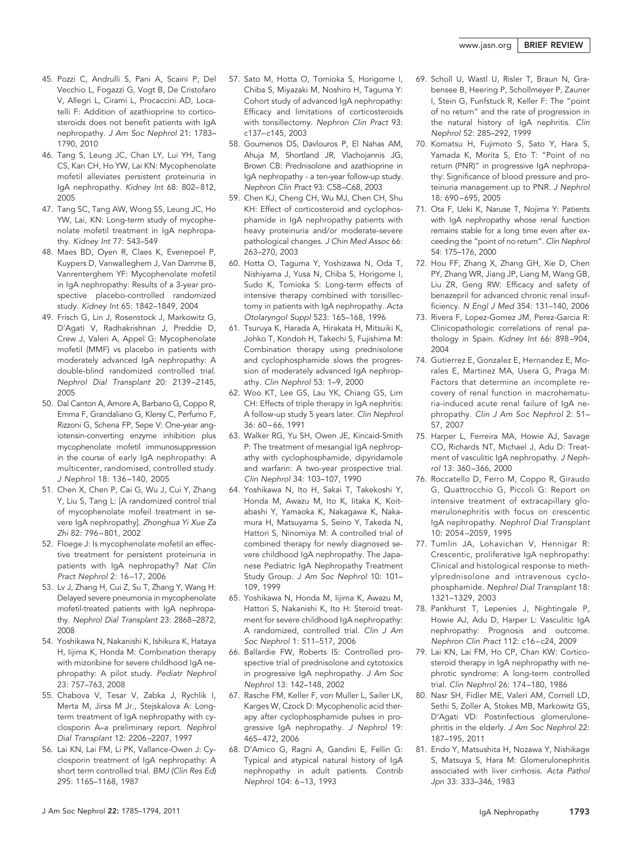- 45. Pozzi C, Andrulli S, Pani A, Scaini P, Del Vecchio L, Fogazzi G, Vogt B, De Cristofaro V, Allegri L, Cirami L, Procaccini AD, Locatelli F: Addition of azathioprine to corticosteroids does not benefit patients with IgA nephropathy. *J Am Soc Nephrol* 21: 1783– 1790, 2010
- 46. Tang S, Leung JC, Chan LY, Lui YH, Tang CS, Kan CH, Ho YW, Lai KN: Mycophenolate mofetil alleviates persistent proteinuria in IgA nephropathy. *Kidney Int* 68: 802– 812, 2005
- 47. Tang SC, Tang AW, Wong SS, Leung JC, Ho YW, Lai, KN: Long-term study of mycophenolate mofetil treatment in IgA nephropathy. *Kidney Int* 77: 543–549
- 48. Maes BD, Oyen R, Claes K, Evenepoel P, Kuypers D, Vanwalleghem J, Van Damme B, Vanrenterghem YF: Mycophenolate mofetil in IgA nephropathy: Results of a 3-year prospective placebo-controlled randomized study. *Kidney Int* 65: 1842–1849, 2004
- 49. Frisch G, Lin J, Rosenstock J, Markowitz G, D'Agati V, Radhakrishnan J, Preddie D, Crew J, Valeri A, Appel G: Mycophenolate mofetil (MMF) vs placebo in patients with moderately advanced IgA nephropathy: A double-blind randomized controlled trial. *Nephrol Dial Transplant* 20: 2139 –2145, 2005
- 50. Dal Canton A, Amore A, Barbano G, Coppo R, Emma F, Grandaliano G, Klersy C, Perfumo F, Rizzoni G, Schena FP, Sepe V: One-year angiotensin-converting enzyme inhibition plus mycophenolate mofetil immunosuppression in the course of early IgA nephropathy: A multicenter, randomised, controlled study. *J Nephrol* 18: 136 –140, 2005
- 51. Chen X, Chen P, Cai G, Wu J, Cui Y, Zhang Y, Liu S, Tang L: [A randomized control trial of mycophenolate mofeil treatment in severe IgA nephropathy]. *Zhonghua Yi Xue Za Zhi* 82: 796 – 801, 2002
- 52. Floege J: Is mycophenolate mofetil an effective treatment for persistent proteinuria in patients with IgA nephropathy? *Nat Clin Pract Nephrol* 2: 16 –17, 2006
- 53. Lv J, Zhang H, Cui Z, Su T, Zhang Y, Wang H: Delayed severe pneumonia in mycophenolate mofetil-treated patients with IgA nephropathy. *Nephrol Dial Transplant* 23: 2868 –2872, 2008
- 54. Yoshikawa N, Nakanishi K, Ishikura K, Hataya H, Iijima K, Honda M: Combination therapy with mizoribine for severe childhood IgA nephropathy: A pilot study. *Pediatr Nephrol* 23: 757–763, 2008
- 55. Chabova V, Tesar V, Zabka J, Rychlik I, Merta M, Jirsa M Jr., Stejskalova A: Longterm treatment of IgA nephropathy with cyclosporin A–a preliminary report. *Nephrol Dial Transplant* 12: 2206 –2207, 1997
- 56. Lai KN, Lai FM, Li PK, Vallance-Owen J: Cyclosporin treatment of IgA nephropathy: A short term controlled trial. *BMJ (Clin Res Ed*) 295: 1165–1168, 1987
- 57. Sato M, Hotta O, Tomioka S, Horigome I, Chiba S, Miyazaki M, Noshiro H, Taguma Y: Cohort study of advanced IgA nephropathy: Efficacy and limitations of corticosteroids with tonsillectomy. *Nephron Clin Pract* 93: c137–c145, 2003
- 58. Goumenos DS, Davlouros P, El Nahas AM, Ahuja M, Shortland JR, Vlachojannis JG, Brown CB: Prednisolone and azathioprine in IgA nephropathy - a ten-year follow-up study. *Nephron Clin Pract* 93: C58 –C68, 2003
- 59. Chen KJ, Cheng CH, Wu MJ, Chen CH, Shu KH: Effect of corticosteroid and cyclophosphamide in IgA nephropathy patients with heavy proteinuria and/or moderate-severe pathological changes. *J Chin Med Assoc* 66: 263–270, 2003
- 60. Hotta O, Taguma Y, Yoshizawa N, Oda T, Nishiyama J, Yusa N, Chiba S, Horigome I, Sudo K, Tomioka S: Long-term effects of intensive therapy combined with tonsillectomy in patients with IgA nephropathy. *Acta Otolaryngol Suppl* 523: 165–168, 1996
- 61. Tsuruya K, Harada A, Hirakata H, Mitsuiki K, Johko T, Kondoh H, Takechi S, Fujishima M: Combination therapy using prednisolone and cyclophosphamide slows the progression of moderately advanced IgA nephropathy. *Clin Nephrol* 53: 1–9, 2000
- 62. Woo KT, Lee GS, Lau YK, Chiang GS, Lim CH: Effects of triple therapy in IgA nephritis: A follow-up study 5 years later. *Clin Nephrol* 36: 60 – 66, 1991
- 63. Walker RG, Yu SH, Owen JE, Kincaid-Smith P: The treatment of mesangial IgA nephropathy with cyclophosphamide, dipyridamole and warfarin: A two-year prospective trial. *Clin Nephrol* 34: 103–107, 1990
- 64. Yoshikawa N, Ito H, Sakai T, Takekoshi Y, Honda M, Awazu M, Ito K, Iitaka K, Koitabashi Y, Yamaoka K, Nakagawa K, Nakamura H, Matsuyama S, Seino Y, Takeda N, Hattori S, Ninomiya M: A controlled trial of combined therapy for newly diagnosed severe childhood IgA nephropathy. The Japanese Pediatric IgA Nephropathy Treatment Study Group. *J Am Soc Nephrol* 10: 101– 109, 1999
- 65. Yoshikawa N, Honda M, Iijima K, Awazu M, Hattori S, Nakanishi K, Ito H: Steroid treatment for severe childhood IgA nephropathy: A randomized, controlled trial. *Clin J Am Soc Nephrol* 1: 511–517, 2006
- 66. Ballardie FW, Roberts IS: Controlled prospective trial of prednisolone and cytotoxics in progressive IgA nephropathy. *J Am Soc Nephrol* 13: 142–148, 2002
- 67. Rasche FM, Keller F, von Muller L, Sailer LK, Karges W, Czock D: Mycophenolic acid therapy after cyclophosphamide pulses in progressive IgA nephropathy. *J Nephrol* 19: 465– 472, 2006
- 68. D'Amico G, Ragni A, Gandini E, Fellin G: Typical and atypical natural history of IgA nephropathy in adult patients. *Contrib Nephrol* 104: 6 –13, 1993
- 69. Scholl U, Wastl U, Risler T, Braun N, Grabensee B, Heering P, Schollmeyer P, Zauner I, Stein G, Funfstuck R, Keller F: The "point of no return" and the rate of progression in the natural history of IgA nephritis. *Clin Nephrol* 52: 285–292, 1999
- 70. Komatsu H, Fujimoto S, Sato Y, Hara S, Yamada K, Morita S, Eto T: "Point of no return (PNR)" in progressive IgA nephropathy: Significance of blood pressure and proteinuria management up to PNR. *J Nephrol* 18: 690 – 695, 2005
- 71. Ota F, Ueki K, Naruse T, Nojima Y: Patients with IgA nephropathy whose renal function remains stable for a long time even after exceeding the "point of no return". *Clin Nephrol* 54: 175–176, 2000
- 72. Hou FF, Zhang X, Zhang GH, Xie D, Chen PY, Zhang WR, Jiang JP, Liang M, Wang GB, Liu ZR, Geng RW: Efficacy and safety of benazepril for advanced chronic renal insufficiency. *N Engl J Med* 354: 131–140, 2006
- 73. Rivera F, Lopez-Gomez JM, Perez-Garcia R: Clinicopathologic correlations of renal pathology in Spain. *Kidney Int* 66: 898 –904, 2004
- 74. Gutierrez E, Gonzalez E, Hernandez E, Morales E, Martinez MA, Usera G, Praga M: Factors that determine an incomplete recovery of renal function in macrohematuria-induced acute renal failure of IgA nephropathy. *Clin J Am Soc Nephrol* 2: 51– 57, 2007
- 75. Harper L, Ferreira MA, Howie AJ, Savage CO, Richards NT, Michael J, Adu D: Treatment of vasculitic IgA nephropathy. *J Nephrol* 13: 360 –366, 2000
- 76. Roccatello D, Ferro M, Coppo R, Giraudo G, Quattrocchio G, Piccoli G: Report on intensive treatment of extracapillary glomerulonephritis with focus on crescentic IgA nephropathy. *Nephrol Dial Transplant* 10: 2054 –2059, 1995
- 77. Tumlin JA, Lohavichan V, Hennigar R: Crescentic, proliferative IgA nephropathy: Clinical and histological response to methylprednisolone and intravenous cyclophosphamide. *Nephrol Dial Transplant* 18: 1321–1329, 2003
- 78. Pankhurst T, Lepenies J, Nightingale P, Howie AJ, Adu D, Harper L: Vasculitic IgA nephropathy: Prognosis and outcome. *Nephron Clin Pract* 112: c16 –c24, 2009
- 79. Lai KN, Lai FM, Ho CP, Chan KW: Corticosteroid therapy in IgA nephropathy with nephrotic syndrome: A long-term controlled trial. *Clin Nephrol* 26: 174 –180, 1986
- 80. Nasr SH, Fidler ME, Valeri AM, Cornell LD, Sethi S, Zoller A, Stokes MB, Markowitz GS, D'Agati VD: Postinfectious glomerulonephritis in the elderly. *J Am Soc Nephrol* 22: 187–195, 2011
- 81. Endo Y, Matsushita H, Nozawa Y, Nishikage S, Matsuya S, Hara M: Glomerulonephritis associated with liver cirrhosis. *Acta Pathol Jpn* 33: 333–346, 1983